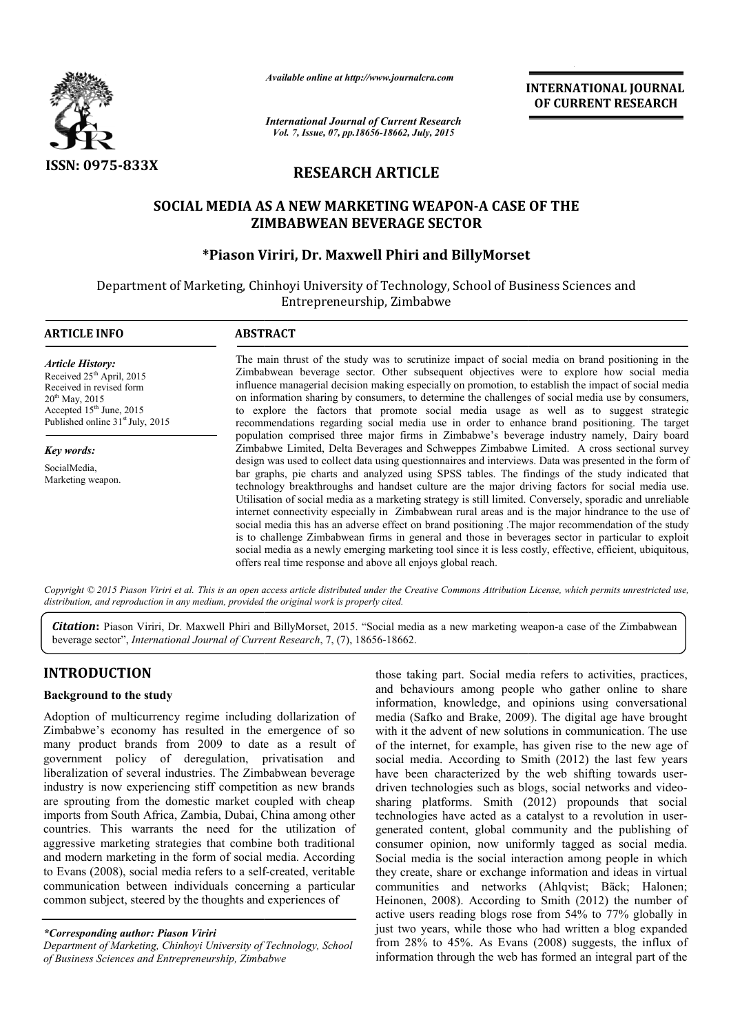

*Available online at http://www.journalcra.com*

*International Journal of Current Research Vol. 7, Issue, 07, pp.18656-18662, July, 2015*

INTERNATIONAL INTERNATIONAL JOURNAL OF CURRENT RESEARCH

# RESEARCH ARTICLE

## SOCIAL MEDIA AS A NEW MARKETING WEAPON-A CASE OF THE ZIMBABWEAN BEVERAGE SECTOR

## \*Piason Viriri Piason Viriri, Dr. Maxwell Phiri and BillyMorset

Department of Marketing, Chinhoyi University of Technology, School of Business Sciences and Entrepreneurship, Zimbabwe

| <b>ARTICLE INFO</b>                                                                                                                                                                                         | <b>ABSTRACT</b>                                                                                                                                                                                                                                                                                                                                                                                                                                                                                                                                                                                                                                                                                                                                                                                                                                                                                                              |  |  |  |  |  |
|-------------------------------------------------------------------------------------------------------------------------------------------------------------------------------------------------------------|------------------------------------------------------------------------------------------------------------------------------------------------------------------------------------------------------------------------------------------------------------------------------------------------------------------------------------------------------------------------------------------------------------------------------------------------------------------------------------------------------------------------------------------------------------------------------------------------------------------------------------------------------------------------------------------------------------------------------------------------------------------------------------------------------------------------------------------------------------------------------------------------------------------------------|--|--|--|--|--|
| <b>Article History:</b><br>Received 25 <sup>th</sup> April, 2015<br>Received in revised form<br>$20^{th}$ May, 2015<br>Accepted 15 <sup>th</sup> June, 2015<br>Published online 31 <sup>st</sup> July, 2015 | The main thrust of the study was to scrutinize impact of social media on brand positioning in the<br>Zimbabwean beverage sector. Other subsequent objectives were to explore how social media<br>influence managerial decision making especially on promotion, to establish the impact of social media<br>on information sharing by consumers, to determine the challenges of social media use by consumers,<br>to explore the factors that promote social media usage as well as to suggest strategic<br>recommendations regarding social media use in order to enhance brand positioning. The target                                                                                                                                                                                                                                                                                                                       |  |  |  |  |  |
| Key words:                                                                                                                                                                                                  | population comprised three major firms in Zimbabwe's beverage industry namely, Dairy board<br>Zimbabwe Limited, Delta Beverages and Schweppes Zimbabwe Limited. A cross sectional survey                                                                                                                                                                                                                                                                                                                                                                                                                                                                                                                                                                                                                                                                                                                                     |  |  |  |  |  |
| SocialMedia,<br>Marketing weapon.                                                                                                                                                                           | design was used to collect data using questionnaires and interviews. Data was presented in the form of<br>bar graphs, pie charts and analyzed using SPSS tables. The findings of the study indicated that<br>technology breakthroughs and handset culture are the major driving factors for social media use.<br>Utilisation of social media as a marketing strategy is still limited. Conversely, sporadic and unreliable<br>internet connectivity especially in Zimbabwean rural areas and is the major hindrance to the use of<br>social media this has an adverse effect on brand positioning. The major recommendation of the study<br>is to challenge Zimbabwean firms in general and those in beverages sector in particular to exploit<br>social media as a newly emerging marketing tool since it is less costly, effective, efficient, ubiquitous,<br>offers real time response and above all enjoys global reach. |  |  |  |  |  |

Copyright © 2015 Piason Viriri et al. This is an open access article distributed under the Creative Commons Attribution License, which permits unrestricted use, *distribution, and reproduction in any medium, provided the original work is properly cited.*

Citation: Piason Viriri, Dr. Maxwell Phiri and BillyMorset, 2015. "Social media as a new marketing weapon-a case of the Zimbabwean beverage sector", *International Journal of Current Research* , 7, (7), 18656-18662.

## INTRODUCTION

#### Background to the study

Adoption of multicurrency regime including dollarization of Zimbabwe's economy has resulted in the emergence of so many product brands from 2009 to date as a result of government policy of deregulation, privatisation and liberalization of several industries. The Zimbabwean beverage industry is now experiencing stiff competition as new brands are sprouting from the domestic market coupled with cheap imports from South Africa, Zambia, Dubai, China among other countries. This warrants the need for the utilization of aggressive marketing strategies that combine both traditional and modern marketing in the form of social media. According to Evans (2008), social media refers to a self-created, veritable communication between individuals concerning a particular common subject, steered by the thoughts and experiences of

*Department of Marketing, Chinhoyi University of Technology, School of Business Sciences and Entrepreneurship, Zimbabwe*

those taking part. Social media refers to activities, practices, and behaviours among people who gather online to share those taking part. Social media refers to activities, practices, and behaviours among people who gather online to share information, knowledge, and opinions using conversational media (Safko and Brake, 2009). The digital age have brought with it the advent of new solutions in communication. The use of the internet, for example, has given rise to the new age of social media. According to Smith (2012) the last few years have been characterized by the web shifting towards userdriven technologies such as blogs, social networks and videosharing platforms. Smith (2012) propounds that social sharing platforms. Smith (2012) propounds that social technologies have acted as a catalyst to a revolution in usergenerated content, global community and the publishing of generated content, global community and the publishing of consumer opinion, now uniformly tagged as social media. Social media is the social interaction among people in which they create, share or exchange information and ideas in virtual communities and networks (Ahlqvist; Bäck; Halonen; Heinonen, 2008). According to Smith (2012) the number of active users reading blogs rose from 54% to 77% globally in just two years, while those who had written a blog expanded from 28% to 45%. As Evans (2008) suggests, the influx of information through the web has formed an integral part of the the internet, for example, has given rise to the new age of<br>the internet, for example, has given rise to the new age of<br>tial media. According to Smith (2012) the last few years<br>ve been characterized by the web shifting tow Social media is the social interaction among people in which they create, share or exchange information and ideas in virtual communities and networks (Ahlqvist; Bäck; Halonen; **INTERNATIONAL JOURNAL OF CURRENT RESEARCH CONNECT (TRESEARCH CONNECT TRESEARCH (1)<br>
MOTSET (1) THE CONNECT CONNECT (1) THE CONNECT (1) THE CONNECT (1) THE CONNECT (1) THE CONNECT (1) THE CONNECT (1) CONNECT (1) CONNECT (1** 

*<sup>\*</sup>Corresponding author: Piason Viriri*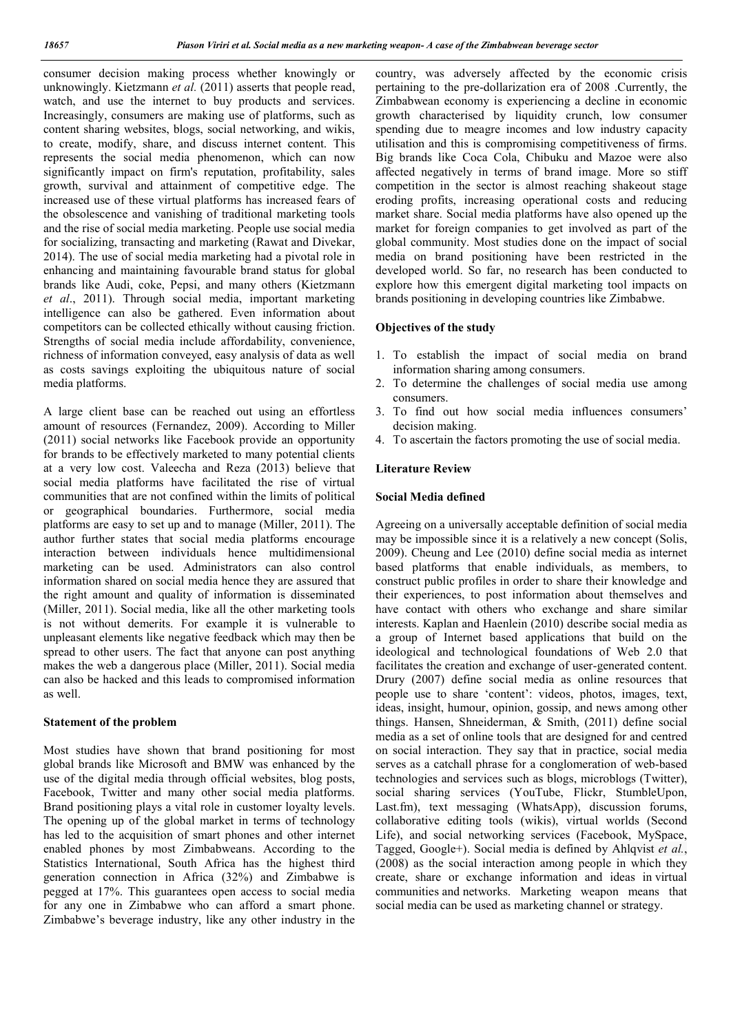consumer decision making process whether knowingly or unknowingly. Kietzmann *et al.* (2011) asserts that people read, watch, and use the internet to buy products and services. Increasingly, consumers are making use of platforms, such as content sharing websites, blogs, social networking, and wikis, to create, modify, share, and discuss internet content. This represents the social media phenomenon, which can now significantly impact on firm's reputation, profitability, sales growth, survival and attainment of competitive edge. The increased use of these virtual platforms has increased fears of the obsolescence and vanishing of traditional marketing tools and the rise of social media marketing. People use social media for socializing, transacting and marketing (Rawat and Divekar, 2014). The use of social media marketing had a pivotal role in enhancing and maintaining favourable brand status for global brands like Audi, coke, Pepsi, and many others (Kietzmann *et al*., 2011). Through social media, important marketing intelligence can also be gathered. Even information about competitors can be collected ethically without causing friction. Strengths of social media include affordability, convenience, richness of information conveyed, easy analysis of data as well as costs savings exploiting the ubiquitous nature of social media platforms.

A large client base can be reached out using an effortless amount of resources (Fernandez, 2009). According to Miller (2011) social networks like Facebook provide an opportunity for brands to be effectively marketed to many potential clients at a very low cost. Valeecha and Reza (2013) believe that social media platforms have facilitated the rise of virtual communities that are not confined within the limits of political or geographical boundaries. Furthermore, social media platforms are easy to set up and to manage (Miller, 2011). The author further states that social media platforms encourage interaction between individuals hence multidimensional marketing can be used. Administrators can also control information shared on social media hence they are assured that the right amount and quality of information is disseminated (Miller, 2011). Social media, like all the other marketing tools is not without demerits. For example it is vulnerable to unpleasant elements like negative feedback which may then be spread to other users. The fact that anyone can post anything makes the web a dangerous place (Miller, 2011). Social media can also be hacked and this leads to compromised information as well.

#### Statement of the problem

Most studies have shown that brand positioning for most global brands like Microsoft and BMW was enhanced by the use of the digital media through official websites, blog posts, Facebook, Twitter and many other social media platforms. Brand positioning plays a vital role in customer loyalty levels. The opening up of the global market in terms of technology has led to the acquisition of smart phones and other internet enabled phones by most Zimbabweans. According to the Statistics International, South Africa has the highest third generation connection in Africa (32%) and Zimbabwe is pegged at 17%. This guarantees open access to social media for any one in Zimbabwe who can afford a smart phone. Zimbabwe's beverage industry, like any other industry in the

country, was adversely affected by the economic crisis pertaining to the pre-dollarization era of 2008 .Currently, the Zimbabwean economy is experiencing a decline in economic growth characterised by liquidity crunch, low consumer spending due to meagre incomes and low industry capacity utilisation and this is compromising competitiveness of firms. Big brands like Coca Cola, Chibuku and Mazoe were also affected negatively in terms of brand image. More so stiff competition in the sector is almost reaching shakeout stage eroding profits, increasing operational costs and reducing market share. Social media platforms have also opened up the market for foreign companies to get involved as part of the global community. Most studies done on the impact of social media on brand positioning have been restricted in the developed world. So far, no research has been conducted to explore how this emergent digital marketing tool impacts on brands positioning in developing countries like Zimbabwe.

#### Objectives of the study

- 1. To establish the impact of social media on brand information sharing among consumers.
- 2. To determine the challenges of social media use among consumers.
- 3. To find out how social media influences consumers' decision making.
- 4. To ascertain the factors promoting the use of social media.

#### Literature Review

#### Social Media defined

Agreeing on a universally acceptable definition of social media may be impossible since it is a relatively a new concept (Solis, 2009). Cheung and Lee (2010) define social media as internet based platforms that enable individuals, as members, to construct public profiles in order to share their knowledge and their experiences, to post information about themselves and have contact with others who exchange and share similar interests. Kaplan and Haenlein (2010) describe social media as a group of Internet based applications that build on the ideological and technological foundations of Web 2.0 that facilitates the creation and exchange of user-generated content. Drury (2007) define social media as online resources that people use to share 'content': videos, photos, images, text, ideas, insight, humour, opinion, gossip, and news among other things. Hansen, Shneiderman, & Smith, (2011) define social media as a set of online tools that are designed for and centred on social interaction. They say that in practice, social media serves as a catchall phrase for a conglomeration of web-based technologies and services such as blogs, microblogs (Twitter), social sharing services (YouTube, Flickr, StumbleUpon, Last.fm), text messaging (WhatsApp), discussion forums, collaborative editing tools (wikis), virtual worlds (Second Life), and social networking services (Facebook, MySpace, Tagged, Google+). Social media is defined by Ahlqvist *et al.*, (2008) as the social interaction among people in which they create, share or exchange information and ideas in virtual communities and networks. Marketing weapon means that social media can be used as marketing channel or strategy.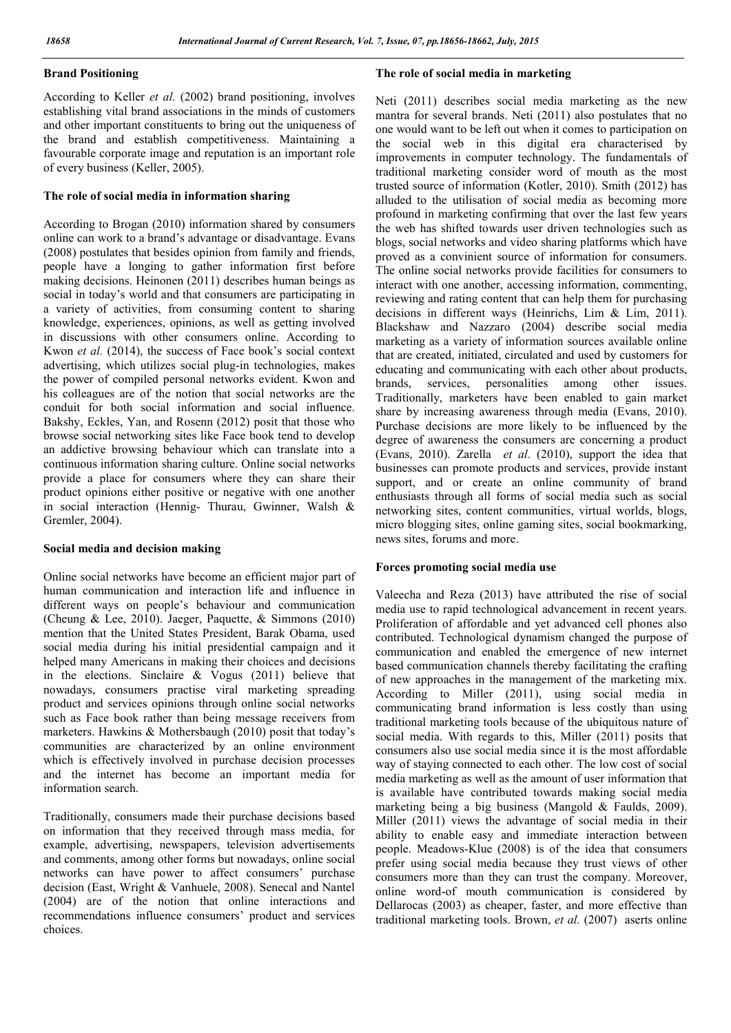### Brand Positioning

According to Keller *et al.* (2002) brand positioning, involves establishing vital brand associations in the minds of customers and other important constituents to bring out the uniqueness of the brand and establish competitiveness. Maintaining a favourable corporate image and reputation is an important role of every business (Keller, 2005).

### The role of social media in information sharing

According to Brogan (2010) information shared by consumers online can work to a brand's advantage or disadvantage. Evans (2008) postulates that besides opinion from family and friends, people have a longing to gather information first before making decisions. Heinonen (2011) describes human beings as social in today's world and that consumers are participating in a variety of activities, from consuming content to sharing knowledge, experiences, opinions, as well as getting involved in discussions with other consumers online. According to Kwon *et al.* (2014), the success of Face book's social context advertising, which utilizes social plug-in technologies, makes the power of compiled personal networks evident. Kwon and his colleagues are of the notion that social networks are the conduit for both social information and social influence. Bakshy, Eckles, Yan, and Rosenn (2012) posit that those who browse social networking sites like Face book tend to develop an addictive browsing behaviour which can translate into a continuous information sharing culture. Online social networks provide a place for consumers where they can share their product opinions either positive or negative with one another in social interaction (Hennig- Thurau, Gwinner, Walsh & Gremler, 2004).

### Social media and decision making

Online social networks have become an efficient major part of human communication and interaction life and influence in different ways on people's behaviour and communication (Cheung & Lee, 2010). Jaeger, Paquette, & Simmons (2010) mention that the United States President, Barak Obama, used social media during his initial presidential campaign and it helped many Americans in making their choices and decisions in the elections. Sinclaire & Vogus (2011) believe that nowadays, consumers practise viral marketing spreading product and services opinions through online social networks such as Face book rather than being message receivers from marketers. Hawkins & Mothersbaugh (2010) posit that today's communities are characterized by an online environment which is effectively involved in purchase decision processes and the internet has become an important media for information search.

Traditionally, consumers made their purchase decisions based on information that they received through mass media, for example, advertising, newspapers, television advertisements and comments, among other forms but nowadays, online social networks can have power to affect consumers' purchase decision (East, Wright & Vanhuele, 2008). Senecal and Nantel (2004) are of the notion that online interactions and recommendations influence consumers' product and services choices.

### The role of social media in marketing

Neti (2011) describes social media marketing as the new mantra for several brands. Neti (2011) also postulates that no one would want to be left out when it comes to participation on the social web in this digital era characterised by improvements in computer technology. The fundamentals of traditional marketing consider word of mouth as the most trusted source of information (Kotler, 2010). Smith (2012) has alluded to the utilisation of social media as becoming more profound in marketing confirming that over the last few years the web has shifted towards user driven technologies such as blogs, social networks and video sharing platforms which have proved as a convinient source of information for consumers. The online social networks provide facilities for consumers to interact with one another, accessing information, commenting, reviewing and rating content that can help them for purchasing decisions in different ways (Heinrichs, Lim & Lim, 2011). Blackshaw and Nazzaro (2004) describe social media marketing as a variety of information sources available online that are created, initiated, circulated and used by customers for educating and communicating with each other about products, brands, services, personalities among other issues. Traditionally, marketers have been enabled to gain market share by increasing awareness through media (Evans, 2010). Purchase decisions are more likely to be influenced by the degree of awareness the consumers are concerning a product (Evans, 2010). Zarella *et al*. (2010), support the idea that businesses can promote products and services, provide instant support, and or create an online community of brand enthusiasts through all forms of social media such as social networking sites, content communities, virtual worlds, blogs, micro blogging sites, online gaming sites, social bookmarking, news sites, forums and more.

### Forces promoting social media use

Valeecha and Reza (2013) have attributed the rise of social media use to rapid technological advancement in recent years. Proliferation of affordable and yet advanced cell phones also contributed. Technological dynamism changed the purpose of communication and enabled the emergence of new internet based communication channels thereby facilitating the crafting of new approaches in the management of the marketing mix. According to Miller (2011), using social media in communicating brand information is less costly than using traditional marketing tools because of the ubiquitous nature of social media. With regards to this, Miller (2011) posits that consumers also use social media since it is the most affordable way of staying connected to each other. The low cost of social media marketing as well as the amount of user information that is available have contributed towards making social media marketing being a big business (Mangold & Faulds, 2009). Miller (2011) views the advantage of social media in their ability to enable easy and immediate interaction between people. Meadows-Klue (2008) is of the idea that consumers prefer using social media because they trust views of other consumers more than they can trust the company. Moreover, online word-of mouth communication is considered by Dellarocas (2003) as cheaper, faster, and more effective than traditional marketing tools. Brown, *et al.* (2007) aserts online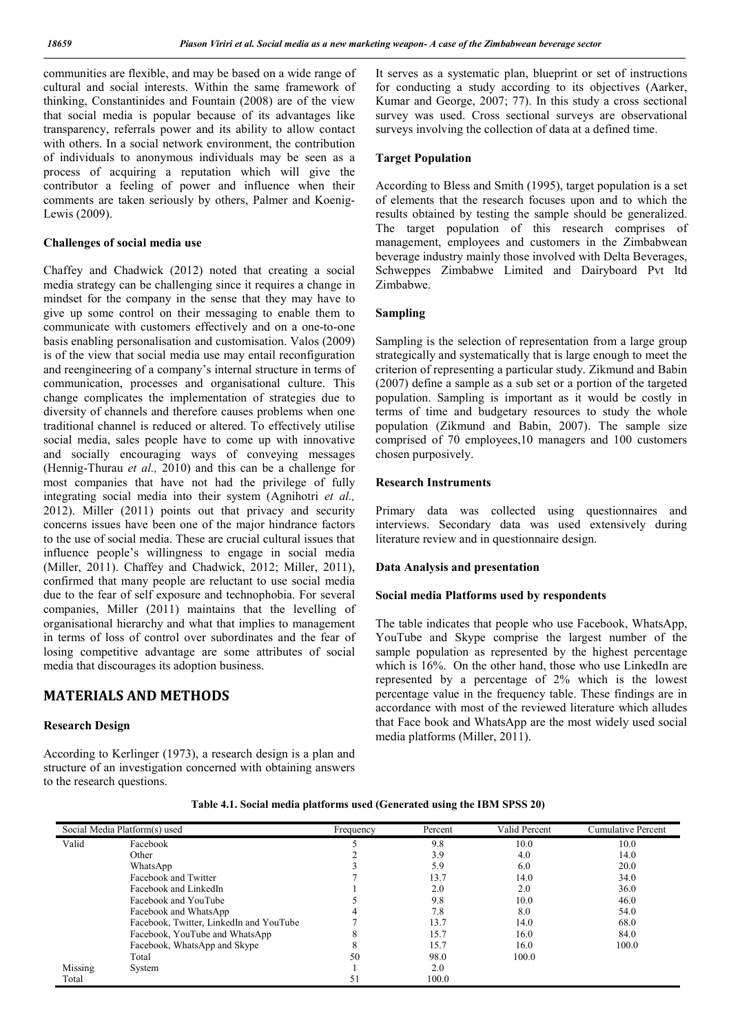communities are flexible, and may be based on a wide range of cultural and social interests. Within the same framework of thinking, Constantinides and Fountain (2008) are of the view that social media is popular because of its advantages like transparency, referrals power and its ability to allow contact with others. In a social network environment, the contribution of individuals to anonymous individuals may be seen as a process of acquiring a reputation which will give the contributor a feeling of power and influence when their comments are taken seriously by others, Palmer and Koenig-Lewis (2009).

### Challenges of social media use

Chaffey and Chadwick (2012) noted that creating a social media strategy can be challenging since it requires a change in mindset for the company in the sense that they may have to give up some control on their messaging to enable them to communicate with customers effectively and on a one-to-one basis enabling personalisation and customisation. Valos (2009) is of the view that social media use may entail reconfiguration and reengineering of a company's internal structure in terms of communication, processes and organisational culture. This change complicates the implementation of strategies due to diversity of channels and therefore causes problems when one traditional channel is reduced or altered. To effectively utilise social media, sales people have to come up with innovative and socially encouraging ways of conveying messages (Hennig-Thurau *et al.,* 2010) and this can be a challenge for most companies that have not had the privilege of fully integrating social media into their system (Agnihotri *et al.,* 2012). Miller (2011) points out that privacy and security concerns issues have been one of the major hindrance factors to the use of social media. These are crucial cultural issues that influence people's willingness to engage in social media (Miller, 2011). Chaffey and Chadwick, 2012; Miller, 2011), confirmed that many people are reluctant to use social media due to the fear of self exposure and technophobia. For several companies, Miller (2011) maintains that the levelling of organisational hierarchy and what that implies to management in terms of loss of control over subordinates and the fear of losing competitive advantage are some attributes of social media that discourages its adoption business.

### MATERIALS AND METHODS

#### Research Design

According to Kerlinger (1973), a research design is a plan and structure of an investigation concerned with obtaining answers to the research questions.

It serves as a systematic plan, blueprint or set of instructions for conducting a study according to its objectives (Aarker, Kumar and George, 2007; 77). In this study a cross sectional survey was used. Cross sectional surveys are observational surveys involving the collection of data at a defined time.

#### Target Population

According to Bless and Smith (1995), target population is a set of elements that the research focuses upon and to which the results obtained by testing the sample should be generalized. The target population of this research comprises of management, employees and customers in the Zimbabwean beverage industry mainly those involved with Delta Beverages, Schweppes Zimbabwe Limited and Dairyboard Pvt ltd Zimbabwe.

### Sampling

Sampling is the selection of representation from a large group strategically and systematically that is large enough to meet the criterion of representing a particular study. Zikmund and Babin (2007) define a sample as a sub set or a portion of the targeted population. Sampling is important as it would be costly in terms of time and budgetary resources to study the whole population (Zikmund and Babin, 2007). The sample size comprised of 70 employees,10 managers and 100 customers chosen purposively.

#### Research Instruments

Primary data was collected using questionnaires and interviews. Secondary data was used extensively during literature review and in questionnaire design.

#### Data Analysis and presentation

### Social media Platforms used by respondents

The table indicates that people who use Facebook, WhatsApp, YouTube and Skype comprise the largest number of the sample population as represented by the highest percentage which is  $16\%$ . On the other hand, those who use LinkedIn are represented by a percentage of 2% which is the lowest percentage value in the frequency table. These findings are in accordance with most of the reviewed literature which alludes that Face book and WhatsApp are the most widely used social media platforms (Miller, 2011).

| Social Media Platform(s) used |                                         | Frequency | Percent | Valid Percent | Cumulative Percent |
|-------------------------------|-----------------------------------------|-----------|---------|---------------|--------------------|
| Valid                         | Facebook                                |           | 9.8     | 10.0          | 10.0               |
|                               | Other                                   |           | 3.9     | 4.0           | 14.0               |
|                               | WhatsApp                                |           | 5.9     | 6.0           | 20.0               |
|                               | Facebook and Twitter                    |           | 13.7    | 14.0          | 34.0               |
|                               | Facebook and LinkedIn                   |           | 2.0     | 2.0           | 36.0               |
|                               | Facebook and YouTube                    |           | 9.8     | 10.0          | 46.0               |
|                               | Facebook and WhatsApp                   |           | 7.8     | 8.0           | 54.0               |
|                               | Facebook, Twitter, LinkedIn and YouTube |           | 13.7    | 14.0          | 68.0               |
|                               | Facebook, YouTube and WhatsApp          |           | 15.7    | 16.0          | 84.0               |
|                               | Facebook, WhatsApp and Skype            |           | 15.7    | 16.0          | 100.0              |
|                               | Total                                   | 50        | 98.0    | 100.0         |                    |
| Missing                       | System                                  |           | 2.0     |               |                    |
| Total                         |                                         |           | 100.0   |               |                    |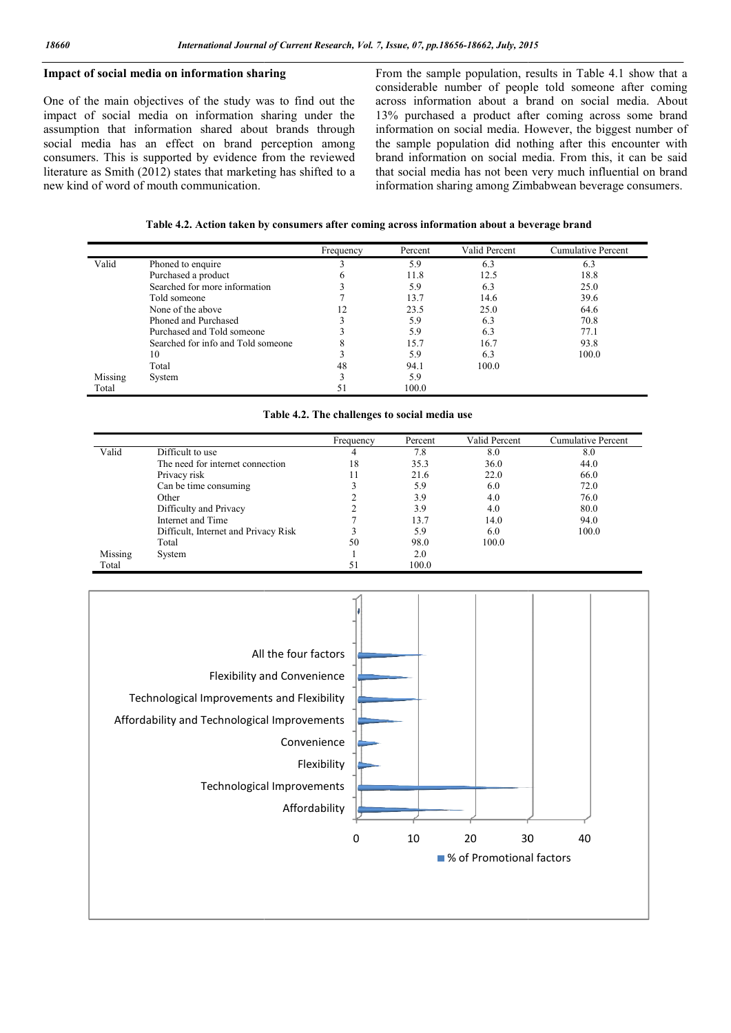## Impact of social media on information sharing

One of the main objectives of the study was to find out the impact of social media on information sharing under the assumption that information shared about brands through social media has an effect on brand perception among consumers. This is supported by evidence from the reviewed literature as Smith (2012) states that marketing has shifted to a new kind of word of mouth communication.

From the sample population, results in Table 4.1 show that a considerable number of people told someone after coming across information about a brand on social media. About 13% purchased a product after coming across some brand information on social media. However, the biggest number of the sample population did nothing after this encounter with brand information on social media. From this, it can be said that social media has not been very much influential on brand information sharing among Zimbabwean beverage consumers. 7, *Issue, 07, pp.18656-18662, July, 2015*<br>From the sample population, results in Table 4.1 show that a<br>considerable number of people told someone after coming<br>across information about a brand on social media. About<br>13% pu

Table 4.2. Action taken by consumers after coming across information about a beverage brand

|         |                                    | Frequency | Percent | Valid Percent | <b>Cumulative Percent</b> |
|---------|------------------------------------|-----------|---------|---------------|---------------------------|
| Valid   | Phoned to enquire                  |           | 5.9     | 6.3           | 6.3                       |
|         | Purchased a product                |           | 11.8    | 12.5          | 18.8                      |
|         | Searched for more information      |           | 5.9     | 6.3           | 25.0                      |
|         | Told someone                       |           | 13.7    | 14.6          | 39.6                      |
|         | None of the above                  |           | 23.5    | 25.0          | 64.6                      |
|         | Phoned and Purchased               |           | 5.9     | 6.3           | 70.8                      |
|         | Purchased and Told someone         |           | 5.9     | 6.3           | 77.1                      |
|         | Searched for info and Told someone |           | 15.7    | 16.7          | 93.8                      |
|         | 10                                 |           | 5.9     | 6.3           | 100.0                     |
|         | Total                              | 48        | 94.1    | 100.0         |                           |
| Missing | System                             |           | 5.9     |               |                           |
| Total   |                                    |           | 100.0   |               |                           |

### Table 4.2. The challenges to social media use

|         |                                      | Frequency | Percent | Valid Percent | Cumulative Percent |
|---------|--------------------------------------|-----------|---------|---------------|--------------------|
| Valid   | Difficult to use                     | 4         | 7.8     | 8.0           | 8.0                |
|         | The need for internet connection     | 18        | 35.3    | 36.0          | 44.0               |
|         | Privacy risk                         |           | 21.6    | 22.0          | 66.0               |
|         | Can be time consuming                |           | 5.9     | 6.0           | 72.0               |
|         | Other                                |           | 3.9     | 4.0           | 76.0               |
|         | Difficulty and Privacy               |           | 3.9     | 4.0           | 80.0               |
|         | Internet and Time                    |           | 13.7    | 14.0          | 94.0               |
|         | Difficult, Internet and Privacy Risk |           | 5.9     | 6.0           | 100.0              |
|         | Total                                | 50        | 98.0    | 100.0         |                    |
| Missing | System                               |           | 2.0     |               |                    |
| Total   |                                      | 51        | 100.0   |               |                    |

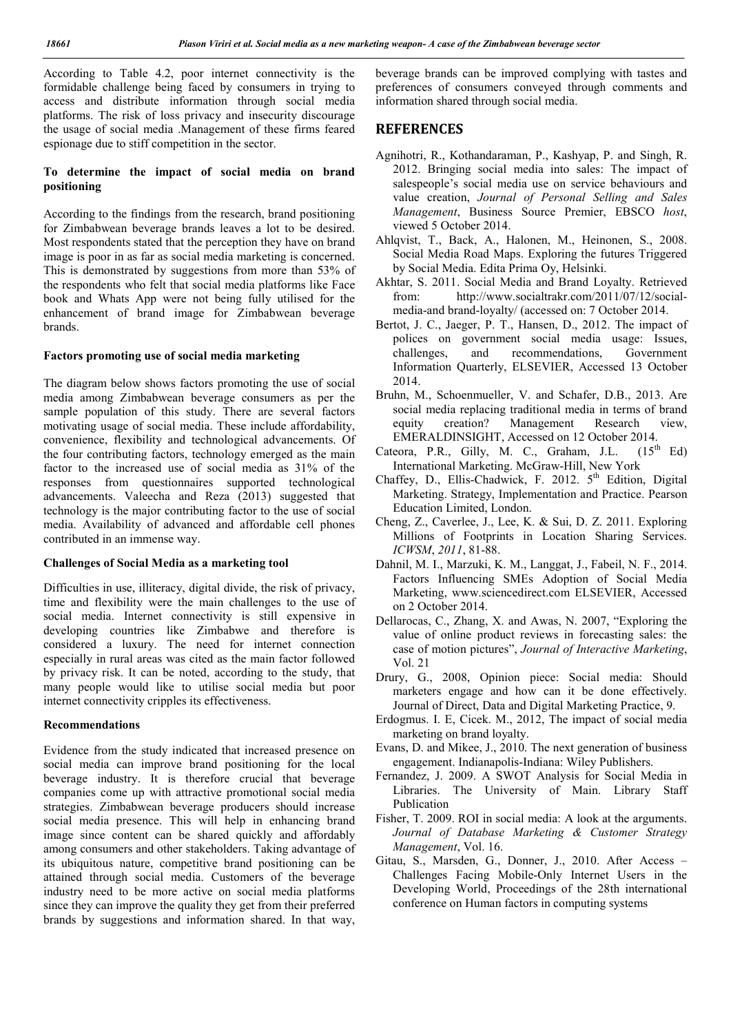According to Table 4.2, poor internet connectivity is the formidable challenge being faced by consumers in trying to access and distribute information through social media platforms. The risk of loss privacy and insecurity discourage the usage of social media .Management of these firms feared espionage due to stiff competition in the sector.

### To determine the impact of social media on brand positioning

According to the findings from the research, brand positioning for Zimbabwean beverage brands leaves a lot to be desired. Most respondents stated that the perception they have on brand image is poor in as far as social media marketing is concerned. This is demonstrated by suggestions from more than 53% of the respondents who felt that social media platforms like Face book and Whats App were not being fully utilised for the enhancement of brand image for Zimbabwean beverage brands.

### Factors promoting use of social media marketing

The diagram below shows factors promoting the use of social media among Zimbabwean beverage consumers as per the sample population of this study. There are several factors motivating usage of social media. These include affordability, convenience, flexibility and technological advancements. Of the four contributing factors, technology emerged as the main factor to the increased use of social media as 31% of the responses from questionnaires supported technological advancements. Valeecha and Reza (2013) suggested that technology is the major contributing factor to the use of social media. Availability of advanced and affordable cell phones contributed in an immense way.

#### Challenges of Social Media as a marketing tool

Difficulties in use, illiteracy, digital divide, the risk of privacy, time and flexibility were the main challenges to the use of social media. Internet connectivity is still expensive in developing countries like Zimbabwe and therefore is considered a luxury. The need for internet connection especially in rural areas was cited as the main factor followed by privacy risk. It can be noted, according to the study, that many people would like to utilise social media but poor internet connectivity cripples its effectiveness.

#### Recommendations

Evidence from the study indicated that increased presence on social media can improve brand positioning for the local beverage industry. It is therefore crucial that beverage companies come up with attractive promotional social media strategies. Zimbabwean beverage producers should increase social media presence. This will help in enhancing brand image since content can be shared quickly and affordably among consumers and other stakeholders. Taking advantage of its ubiquitous nature, competitive brand positioning can be attained through social media. Customers of the beverage industry need to be more active on social media platforms since they can improve the quality they get from their preferred brands by suggestions and information shared. In that way, beverage brands can be improved complying with tastes and preferences of consumers conveyed through comments and information shared through social media.

## **REFERENCES**

- Agnihotri, R., Kothandaraman, P., Kashyap, P. and Singh, R. 2012. Bringing social media into sales: The impact of salespeople's social media use on service behaviours and value creation, *Journal of Personal Selling and Sales Management*, Business Source Premier, EBSCO *host*, viewed 5 October 2014.
- Ahlqvist, T., Back, A., Halonen, M., Heinonen, S., 2008. Social Media Road Maps. Exploring the futures Triggered by Social Media. Edita Prima Oy, Helsinki.
- Akhtar, S. 2011. Social Media and Brand Loyalty. Retrieved from: http://www.socialtrakr.com/2011/07/12/socialmedia-and brand-loyalty/ (accessed on: 7 October 2014.
- Bertot, J. C., Jaeger, P. T., Hansen, D., 2012. The impact of polices on government social media usage: Issues, challenges, and recommendations, Government Information Quarterly, ELSEVIER, Accessed 13 October 2014.
- Bruhn, M., Schoenmueller, V. and Schafer, D.B., 2013. Are social media replacing traditional media in terms of brand equity creation? Management Research view,
- EMERALDINSIGHT, Accessed on 12 October 2014.<br>teora, P.R., Gilly, M. C., Graham. J.L. (15<sup>th</sup> Ed) Cateora, P.R., Gilly, M. C., Graham, J.L. International Marketing. McGraw-Hill, New York
- Chaffey, D., Ellis-Chadwick, F. 2012. 5<sup>th</sup> Edition, Digital Marketing. Strategy, Implementation and Practice. Pearson Education Limited, London.
- Cheng, Z., Caverlee, J., Lee, K. & Sui, D. Z. 2011. Exploring Millions of Footprints in Location Sharing Services. *ICWSM*, *2011*, 81-88.
- Dahnil, M. I., Marzuki, K. M., Langgat, J., Fabeil, N. F., 2014. Factors Influencing SMEs Adoption of Social Media Marketing, www.sciencedirect.com ELSEVIER, Accessed on 2 October 2014.
- Dellarocas, C., Zhang, X. and Awas, N. 2007, "Exploring the value of online product reviews in forecasting sales: the case of motion pictures", *Journal of Interactive Marketing*, Vol. 21
- Drury, G., 2008, Opinion piece: Social media: Should marketers engage and how can it be done effectively. Journal of Direct, Data and Digital Marketing Practice, 9.
- Erdogmus. I. E, Cicek. M., 2012, The impact of social media marketing on brand loyalty.
- Evans, D. and Mikee, J., 2010. The next generation of business engagement. Indianapolis-Indiana: Wiley Publishers.
- Fernandez, J. 2009. A SWOT Analysis for Social Media in Libraries. The University of Main. Library Staff Publication
- Fisher, T. 2009. ROI in social media: A look at the arguments. *Journal of Database Marketing & Customer Strategy Management*, Vol. 16.
- Gitau, S., Marsden, G., Donner, J., 2010. After Access Challenges Facing Mobile-Only Internet Users in the Developing World, Proceedings of the 28th international conference on Human factors in computing systems